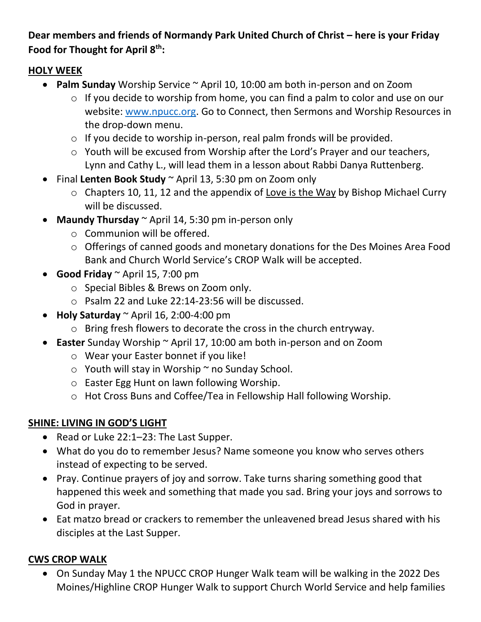# **Dear members and friends of Normandy Park United Church of Christ – here is your Friday Food for Thought for April 8th:**

# **HOLY WEEK**

- **Palm Sunday** Worship Service ~ April 10, 10:00 am both in-person and on Zoom
	- o If you decide to worship from home, you can find a palm to color and use on our website: [www.npucc.org.](http://www.npucc.org/) Go to Connect, then Sermons and Worship Resources in the drop-down menu.
	- o If you decide to worship in-person, real palm fronds will be provided.
	- o Youth will be excused from Worship after the Lord's Prayer and our teachers, Lynn and Cathy L., will lead them in a lesson about Rabbi Danya Ruttenberg.
- Final **Lenten Book Study** ~ April 13, 5:30 pm on Zoom only
	- o Chapters 10, 11, 12 and the appendix of Love is the Way by Bishop Michael Curry will be discussed.
- **Maundy Thursday** ~ April 14, 5:30 pm in-person only
	- o Communion will be offered.
	- o Offerings of canned goods and monetary donations for the Des Moines Area Food Bank and Church World Service's CROP Walk will be accepted.
- **Good Friday** ~ April 15, 7:00 pm
	- o Special Bibles & Brews on Zoom only.
	- o Psalm 22 and Luke 22:14-23:56 will be discussed.
- **Holy Saturday** ~ April 16, 2:00-4:00 pm
	- o Bring fresh flowers to decorate the cross in the church entryway.
- **Easter** Sunday Worship ~ April 17, 10:00 am both in-person and on Zoom
	- o Wear your Easter bonnet if you like!
	- $\circ$  Youth will stay in Worship  $\sim$  no Sunday School.
	- o Easter Egg Hunt on lawn following Worship.
	- o Hot Cross Buns and Coffee/Tea in Fellowship Hall following Worship.

# **SHINE: LIVING IN GOD'S LIGHT**

- Read or Luke 22:1–23: The Last Supper.
- What do you do to remember Jesus? Name someone you know who serves others instead of expecting to be served.
- Pray. Continue prayers of joy and sorrow. Take turns sharing something good that happened this week and something that made you sad. Bring your joys and sorrows to God in prayer.
- Eat matzo bread or crackers to remember the unleavened bread Jesus shared with his disciples at the Last Supper.

# **CWS CROP WALK**

• On Sunday May 1 the NPUCC CROP Hunger Walk team will be walking in the 2022 Des Moines/Highline CROP Hunger Walk to support Church World Service and help families